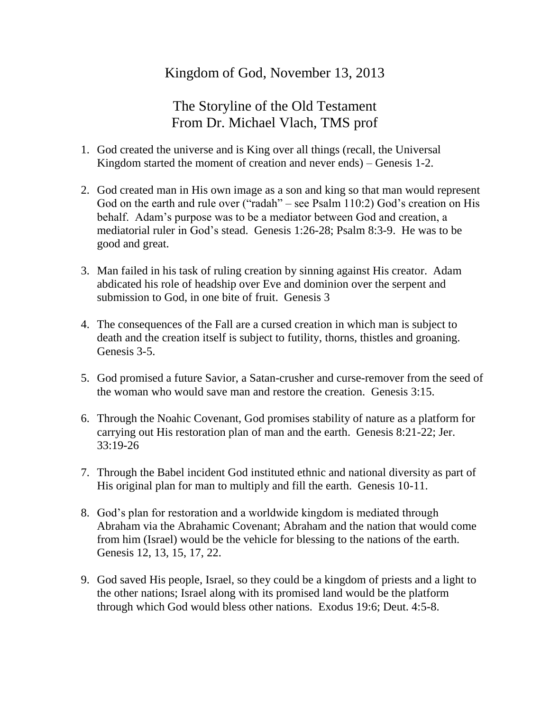## Kingdom of God, November 13, 2013

## The Storyline of the Old Testament From Dr. Michael Vlach, TMS prof

- 1. God created the universe and is King over all things (recall, the Universal Kingdom started the moment of creation and never ends) – Genesis 1-2.
- 2. God created man in His own image as a son and king so that man would represent God on the earth and rule over ("radah" – see Psalm 110:2) God's creation on His behalf. Adam's purpose was to be a mediator between God and creation, a mediatorial ruler in God's stead. Genesis 1:26-28; Psalm 8:3-9. He was to be good and great.
- 3. Man failed in his task of ruling creation by sinning against His creator. Adam abdicated his role of headship over Eve and dominion over the serpent and submission to God, in one bite of fruit. Genesis 3
- 4. The consequences of the Fall are a cursed creation in which man is subject to death and the creation itself is subject to futility, thorns, thistles and groaning. Genesis 3-5.
- 5. God promised a future Savior, a Satan-crusher and curse-remover from the seed of the woman who would save man and restore the creation. Genesis 3:15.
- 6. Through the Noahic Covenant, God promises stability of nature as a platform for carrying out His restoration plan of man and the earth. Genesis 8:21-22; Jer. 33:19-26
- 7. Through the Babel incident God instituted ethnic and national diversity as part of His original plan for man to multiply and fill the earth. Genesis 10-11.
- 8. God's plan for restoration and a worldwide kingdom is mediated through Abraham via the Abrahamic Covenant; Abraham and the nation that would come from him (Israel) would be the vehicle for blessing to the nations of the earth. Genesis 12, 13, 15, 17, 22.
- 9. God saved His people, Israel, so they could be a kingdom of priests and a light to the other nations; Israel along with its promised land would be the platform through which God would bless other nations. Exodus 19:6; Deut. 4:5-8.